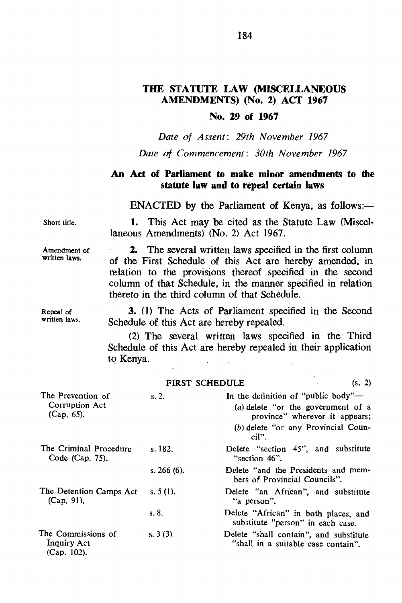## THE STATUTE LAW (MISCElLANEOUS AMENDMENTS) (No.2) ACT 1967

## No. 29 of 1967

*Date of Assent: 29th November 1967* 

*Date of Commencement: 30th November 1967* 

## An Act of Parliament to make minor amendments to the statute law and to repeal certain laws

 $ENACTED$  by the Parliament of Kenya, as follows:-

Short title.

1. This Act may be cited as the Statute Law (Miscel· laneous Amendments) (No. 2) Act 1967.

Amendment of written laws.

2. The several written laws specified in the first column of the First Schedule of this Act are hereby amended. in relation to the provisions thereof specified in the second column of that Schedule, in the manner specified in relation thereto in the third column of that Schedule.

3. (I) The Acts of Parliament specified in the Second Schedule of this Act are hereby repealed.

(2) The several written laws specified in the Third Schedule of this Act are hereby repealed in their application to Kenya.  $\mathcal{L}_{\text{in}}$ 

|                                                            |               | (s, 2)<br><b>FIRST SCHEDULE</b>                                                                                                                             |
|------------------------------------------------------------|---------------|-------------------------------------------------------------------------------------------------------------------------------------------------------------|
| The Prevention of<br>Corruption Act<br>$(Cap, 65)$ .       | s, 2.         | In the definition of "public body"-<br>(a) delete "or the government of a<br>province" wherever it appears;<br>(b) delete "or any Provincial Coun-<br>cil". |
| The Criminal Procedure<br>Code (Cap. 75).                  | s. $182.$     | Delete "section 45", and substitute<br>"section 46".                                                                                                        |
|                                                            | s. $266(6)$ . | Delete "and the Presidents and mem-<br>bers of Provincial Councils".                                                                                        |
| The Detention Camps Act<br>$(Cap. 91)$ .                   | s. $5(1)$ .   | Delete "an African", and substitute<br>"a person".                                                                                                          |
|                                                            | s.8.          | Delete "African" in both places, and<br>substitute "person" in each case.                                                                                   |
| The Commissions of<br><b>Inquiry Act</b><br>$(Cap. 102)$ . | $s. 3(3)$ .   | Delete "shall contain", and substitute<br>"shall in a suitable case contain".                                                                               |

Repeat of written laws.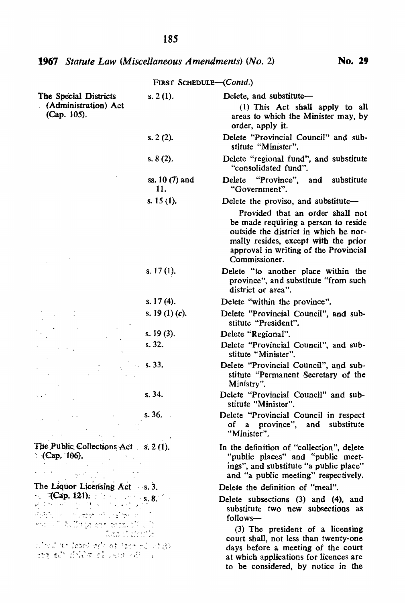# **1967** Statute Law (Miscellaneous Amendments) (No. 2) **No. 29**

| FIRST SCHEDULE-(Contd.)                                                               |                       |                                                                                                                                                                                                                     |  |  |
|---------------------------------------------------------------------------------------|-----------------------|---------------------------------------------------------------------------------------------------------------------------------------------------------------------------------------------------------------------|--|--|
| The Special Districts<br>(Administration) Act<br>(Cap. 105).                          | s. 2(1).              | Delete, and substitute-<br>(1) This Act shall apply to all<br>areas to which the Minister may, by<br>order, apply it.                                                                                               |  |  |
|                                                                                       | s. 2(2).              | Delete "Provincial Council" and sub-<br>stitute "Minister".                                                                                                                                                         |  |  |
|                                                                                       | s. $8(2)$ .           | Delete "regional fund", and substitute<br>"consolidated fund".                                                                                                                                                      |  |  |
|                                                                                       | ss. 10 (7) and<br>11. | "Province",<br>substitute<br>and<br>Delete<br>"Government".                                                                                                                                                         |  |  |
|                                                                                       | s. $15(1)$ .          | Delete the proviso, and substitute-                                                                                                                                                                                 |  |  |
|                                                                                       |                       | Provided that an order shall not<br>be made requiring a person to reside<br>outside the district in which he nor-<br>mally resides, except with the prior<br>approval in writing of the Provincial<br>Commissioner. |  |  |
|                                                                                       | s. $17(1)$ .          | Delete "to another place within the<br>province", and substitute "from such<br>district or area".                                                                                                                   |  |  |
|                                                                                       | s. $17(4)$ .          | Delete "within the province".                                                                                                                                                                                       |  |  |
|                                                                                       | s. 19 $(1)(c)$ .      | Delete "Provincial Council", and sub-<br>stitute "President".                                                                                                                                                       |  |  |
|                                                                                       | s. $19(3)$ .          | Delete "Regional".                                                                                                                                                                                                  |  |  |
|                                                                                       | s. 32.                | Delete "Provincial Council", and sub-<br>stitute "Minister".                                                                                                                                                        |  |  |
|                                                                                       | $\sim$ s. 33.         | Delete "Provincial Council", and sub-<br>stitute "Permanent Secretary of the<br>Ministry".                                                                                                                          |  |  |
|                                                                                       | s.34.                 | Delete "Provincial Council" and sub-<br>stitute "Minister".                                                                                                                                                         |  |  |
|                                                                                       | s.36.                 | Delete "Provincial Council in respect<br>of a province", and substitute<br>"Minister".                                                                                                                              |  |  |
| The Public Collections $Act$ s. 2 (1).<br>$Cap. 106$ .                                |                       | In the definition of "collection", delete<br>"public places" and "public meet-<br>ings", and substitute "a public place"<br>and "a public meeting" respectively.                                                    |  |  |
| The Liquor Licensing Act s. 3.                                                        |                       | Delete the definition of "meal".                                                                                                                                                                                    |  |  |
| (Cap. 121). $S_2$ 8.<br>della constanza più alle co-                                  |                       | Delete subsections (3) and (4), and<br>substitute two new subsections as<br>follows-                                                                                                                                |  |  |
| mark in ACDs to overlook at 100<br>Land of Montfor<br>後にしゃ hour to sin down in int in |                       | (3) The president of a licensing<br>court shall, not less than twenty-one<br>days before a meeting of the court                                                                                                     |  |  |
| immy ad" findΩα ad lett rif i i                                                       |                       | at which applications for licences are<br>to be considered, by notice in the                                                                                                                                        |  |  |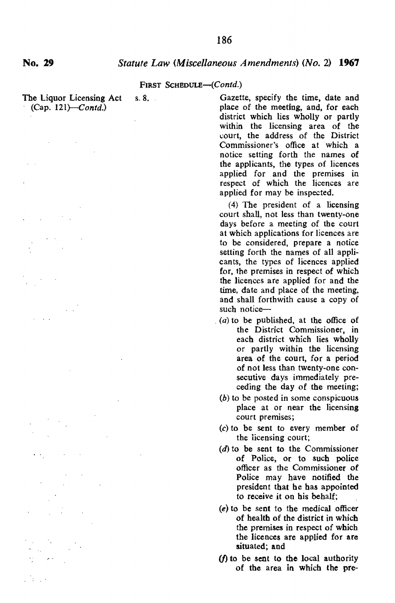$(Cap. 121)$ -Contd.)

The Liquor Licensing Act s.8. Gazette, specify the time, date and place of the meeting, and, for each district which lies wholly or partly within the licensing area of the court, the address of the District Commissioner's office at which a notice setting forth the names of the applicants, the types of licences applied for and the premises in respect of which the licences are applied for may be inspected.

> (4) 'The president of a licensing court shall, not less than twenty-one days before a meeting of the court at which applications for licences are to be considered, prepare a notice setting forth the names of all applicants, the types of licences applied for, the premises in respect of which the licences are applied for and the time, date and place of the meeting, and shall forthwith cause a copy of such notice-

- $(a)$  to be published, at the office of the District Commissioner, in each district which lies wholly or partly within the licensing area of the court, for a period of not less than twenty-one consecutive days immediately preceding the day of the meeting;
	- (b) to be posted in some conspicuous place at or near the licensing court premises;
	- (c) to be sent to every member of the iicensing court;
	- (d) to be sent to the Commissioner of Police, or to such police officer as the Commissioner of Police may have notified the president that he has appointed to receive it on his behalf;
	- (e) to be sent to the medical officer of health of the district in which the premises in respect of which the licences are applied for are situated; and
- (f) to be sent to the local authority of the area in which the pre-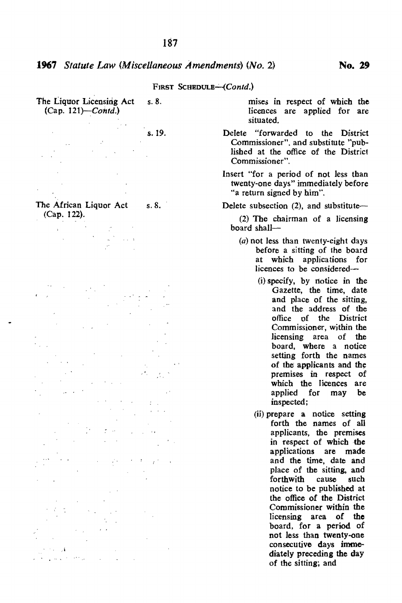The Liquor Licensing Act  $s. 8$ .  $(Cap. 121)$ - $Contd.$ )

s.19.

"

The African Liquor Act (Cap, 122). *s.8.*  mises in respect of which the licences are applied for are situated.

- Delete "forwarded to the District Commissioner", and substitute "published at the office of the District Commissioner".
- Insert "for a period of not less than twenty-one days" immediately before "a return signed by him",

Delete subsection  $(2)$ , and substitute-

(2) The chairman of a licensing board shall-

- (a) not less than twenty-eight days before a sitting of the board at which applications for licences to be considered-
	- (i) specify, by notice in the Gazette, the time, date and place of the sitting, and the address of the office of the District Commissioner, within the licensing area of the board, where a notice setting forth the names of the applicants and the premises in respect of which the licences are applied for may be inspected;
	- (ii) prepare a notice setting forth the names of all applicants, the premises in respect of which the applications are made and the time, date and place of the sitting, and<br>forthwith cause such forthwith cause such notice to be published at the office of the District Commissioner within the licensing area of **the**  board, for a period of not less than twenty-one consecutive days immediately preceding the day of the sitting; and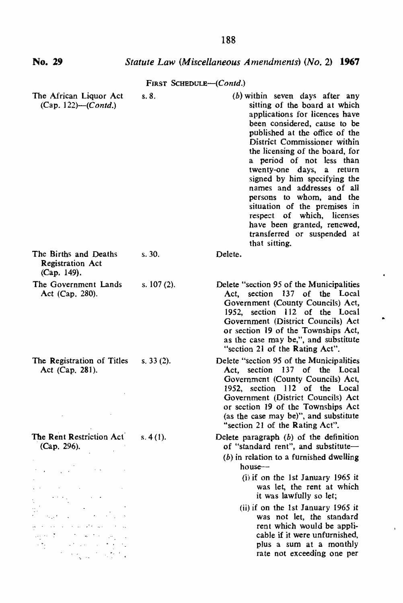| No. 29                                                                                                                                                                                                                                                                                 |               | Statute Law (Miscellaneous Amendments) (No. 2) 1967                                                                                                                                                                                                                                                                                                                                                                                                                                                                                           |  |  |  |
|----------------------------------------------------------------------------------------------------------------------------------------------------------------------------------------------------------------------------------------------------------------------------------------|---------------|-----------------------------------------------------------------------------------------------------------------------------------------------------------------------------------------------------------------------------------------------------------------------------------------------------------------------------------------------------------------------------------------------------------------------------------------------------------------------------------------------------------------------------------------------|--|--|--|
| FIRST SCHEDULE-(Contd.)                                                                                                                                                                                                                                                                |               |                                                                                                                                                                                                                                                                                                                                                                                                                                                                                                                                               |  |  |  |
| The African Liquor Act<br>$(Cap. 122)$ - $(Contd.)$                                                                                                                                                                                                                                    | s.8.          | $(b)$ within seven days after any<br>sitting of the board at which<br>applications for licences have<br>been considered, cause to be<br>published at the office of the<br>District Commissioner within<br>the licensing of the board, for<br>a period of not less than<br>twenty-one days,<br>a return<br>signed by him specifying the<br>names and addresses of all<br>persons to whom, and the<br>situation of the premises in<br>respect of which, licenses<br>have been granted, renewed,<br>transferred or suspended at<br>that sitting. |  |  |  |
| The Births and Deaths<br><b>Registration Act</b><br>(Cap. 149).                                                                                                                                                                                                                        | s. 30.        | Delete.                                                                                                                                                                                                                                                                                                                                                                                                                                                                                                                                       |  |  |  |
| The Government Lands<br>Act (Cap. 280).                                                                                                                                                                                                                                                | s. $107(2)$ . | Delete "section 95 of the Municipalities"<br>Act, section 137 of the Local<br>Government (County Councils) Act,<br>1952, section 112 of the Local<br>Government (District Councils) Act<br>or section 19 of the Townships Act,<br>as the case may be,", and substitute<br>"section 21 of the Rating Act".                                                                                                                                                                                                                                     |  |  |  |
| The Registration of Titles<br>Act (Cap. 281).                                                                                                                                                                                                                                          | s. 33(2).     | Delete "section 95 of the Municipalities<br>Act. section 137 of the Local<br>Government (County Councils) Act,<br>1952, section 112 of the Local<br>Government (District Councils) Act<br>or section 19 of the Townships Act<br>(as the case may be)", and substitute<br>"section 21 of the Rating Act".                                                                                                                                                                                                                                      |  |  |  |
| The Rent Restriction Act<br>(Cap. 296).                                                                                                                                                                                                                                                | s. 4(1).      | Delete paragraph $(b)$ of the definition<br>of "standard rent", and substitute-<br>$(b)$ in relation to a furnished dwelling<br>house---<br>$(i)$ if on the 1st January 1965 it                                                                                                                                                                                                                                                                                                                                                               |  |  |  |
|                                                                                                                                                                                                                                                                                        |               | was let, the rent at which<br>it was lawfully so let;                                                                                                                                                                                                                                                                                                                                                                                                                                                                                         |  |  |  |
| state of the state and<br>せほう こうしゅうどうぶつ<br>أفرق والمتوافق المراد<br>$\label{eq:2} \mathcal{L}^{\mathcal{A}}\left(\mathcal{L}^{\mathcal{A}}\right) = \mathcal{L}^{\mathcal{A}}\left(\mathcal{L}^{\mathcal{A}}\right) = \mathcal{L}^{\mathcal{A}}\left(\mathcal{L}^{\mathcal{A}}\right)$ |               | (ii) if on the 1st January 1965 it<br>was not let, the standard<br>rent which would be appli-<br>cable if it were unfurnished,<br>plus a sum at a monthly<br>rate not exceeding one per                                                                                                                                                                                                                                                                                                                                                       |  |  |  |

 $\blacksquare$ 

 $\bar{\mathbf{r}}$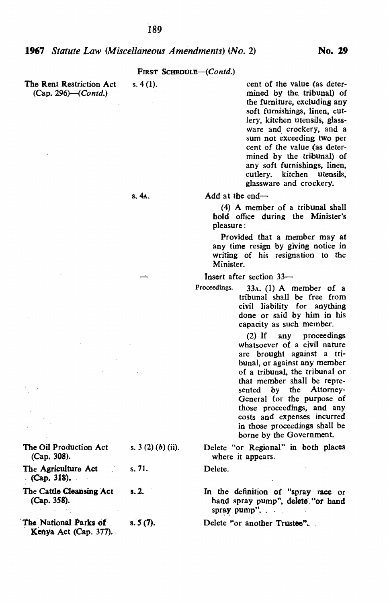| The Rent Restriction Act       | -S., |  |
|--------------------------------|------|--|
| $(Cap. 296)$ ( <i>Contd.</i> ) |      |  |

4 (1). cent of the value (as determined by the tribunal) of the furniture. excluding any soft furnishings, linen, cutlery, kitchen utensils, glassware and crockery, and a sum not exceeding two per cent of the value (as determined by the tribunal) of any soft furnishings, linen, cutlery. kitchen utensils, glassware and crockery.

Add at the end- $-$ 

(4) A member of a tribunal shall hold office during the Minister's pleasure:

Provided that a member may at any time resign by giving notice in writing of his resignation to the Minister.

Insert after section 33-

Proceedings. 33A. (1) A member of a tribunal shall be free from civil liability for anything done or said by him in his capacity as such member.

> (2) If any proceedings whatsoever of a civil nature are brought against a tribunal, or against any member of a tribunal, the tribunal or that member shall be represented by the Attorney-General for the purpose of those proceedings, and any costs and expenses incurred in those proceedings shall be borne by the Government.

Delete "or Regional" in both places where it appears.

Delete.

In the definition of "spray race or hand spray pump", delete "or hand spray. pump". . .

Delete "or another Trustee".

The Oil Production Act s.  $3(2)(b)$  (ii). (Cap. 308).

The Agriculture Act s. 71. (Cap. 318) •.

The Cattle Cleansing Act s. 2. (Cap. 358).

The National Parks of  $s. 5 (7)$ . Kenya Act (Cap. 377).

S.4A.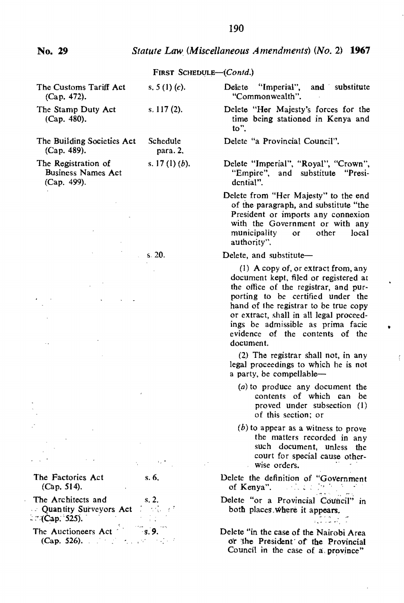| The Customs Tariff Act<br>(Cap. 472).                                                                                                                                                                                                                                                                                                                                                                                                                                                                                       | s. $5(1)(c)$ .       | Delete<br>"Imperial",<br>and substitute<br>"Commonwealth".                                                                                                                                                                                                                                                                          |
|-----------------------------------------------------------------------------------------------------------------------------------------------------------------------------------------------------------------------------------------------------------------------------------------------------------------------------------------------------------------------------------------------------------------------------------------------------------------------------------------------------------------------------|----------------------|-------------------------------------------------------------------------------------------------------------------------------------------------------------------------------------------------------------------------------------------------------------------------------------------------------------------------------------|
| The Stamp Duty Act<br>(Cap. 480).                                                                                                                                                                                                                                                                                                                                                                                                                                                                                           | s. $117(2)$ .        | Delete "Her Majesty's forces for the<br>time being stationed in Kenya and<br>to".                                                                                                                                                                                                                                                   |
| The Building Societies Act<br>(Cap. 489).                                                                                                                                                                                                                                                                                                                                                                                                                                                                                   | Schedule<br>para. 2. | Delete "a Provincial Council".                                                                                                                                                                                                                                                                                                      |
| The Registration of<br><b>Business Names Act</b><br>(Cap. 499).                                                                                                                                                                                                                                                                                                                                                                                                                                                             | s. 17 $(l)(b)$ .     | Delete "Imperial", "Royal", "Crown",<br>"Empire", and substitute<br>"Presi-<br>dential".                                                                                                                                                                                                                                            |
|                                                                                                                                                                                                                                                                                                                                                                                                                                                                                                                             |                      | Delete from "Her Majesty" to the end<br>of the paragraph, and substitute "the<br>President or imports any connexion<br>with the Government or with any<br>municipality<br>or<br>other<br>local<br>authority".                                                                                                                       |
|                                                                                                                                                                                                                                                                                                                                                                                                                                                                                                                             | s. 20.               | Delete, and substitute-                                                                                                                                                                                                                                                                                                             |
|                                                                                                                                                                                                                                                                                                                                                                                                                                                                                                                             |                      | (1) A copy of, or extract from, any<br>document kept, filed or registered at<br>the office of the registrar, and pur-<br>porting to be certified under the<br>hand of the registrar to be true copy<br>or extract, shall in all legal proceed-<br>ings be admissible as prima facie<br>evidence of the contents of the<br>document. |
|                                                                                                                                                                                                                                                                                                                                                                                                                                                                                                                             |                      | (2) The registrar shall not, in any<br>legal proceedings to which he is not<br>a party, be compellable-                                                                                                                                                                                                                             |
|                                                                                                                                                                                                                                                                                                                                                                                                                                                                                                                             |                      | $(a)$ to produce any document the<br>contents of which can be<br>proved under subsection (1)<br>of this section; or                                                                                                                                                                                                                 |
|                                                                                                                                                                                                                                                                                                                                                                                                                                                                                                                             |                      | $(b)$ to appear as a witness to prove<br>the matters recorded in any<br>such document, unless the<br>court for special cause other-<br>wise orders.                                                                                                                                                                                 |
| The Factories Act<br>(Cap. 514).                                                                                                                                                                                                                                                                                                                                                                                                                                                                                            | s.6                  | Delete the definition of "Government<br>of Kenya".<br>a sa tsa bab                                                                                                                                                                                                                                                                  |
| The Architects and<br>$s, 2$ .<br><b>Quantity Surveyors Act</b> <i>in the ch</i><br>$C^{(2)}(Cap, 525)$ .                                                                                                                                                                                                                                                                                                                                                                                                                   |                      | Delete "or a Provincial Council" in<br>both places where it appears.<br>i internet.<br>Against the A                                                                                                                                                                                                                                |
| The Auctioneers Act <sup>5</sup> 8.9.<br>(Cap. 526). $\therefore$ $\therefore$ $\therefore$ $\therefore$ $\therefore$ $\therefore$ $\therefore$ $\therefore$ $\therefore$ $\therefore$ $\therefore$ $\therefore$ $\therefore$ $\therefore$ $\therefore$ $\therefore$ $\therefore$ $\therefore$ $\therefore$ $\therefore$ $\therefore$ $\therefore$ $\therefore$ $\therefore$ $\therefore$ $\therefore$ $\therefore$ $\therefore$ $\therefore$ $\therefore$ $\therefore$ $\therefore$ $\therefore$ $\therefore$ $\therefore$ |                      | Delete "in the case of the Nairobi Area<br>or the President of the Provincial<br>Council in the case of a province"                                                                                                                                                                                                                 |
|                                                                                                                                                                                                                                                                                                                                                                                                                                                                                                                             |                      |                                                                                                                                                                                                                                                                                                                                     |